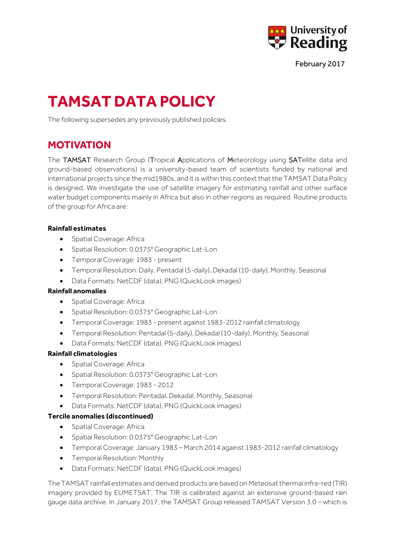

February 2017

# **TAMSAT DATA POLICY**

The following supersedes any previously published policies.

# **MOTIVATION**

The TAMSAT Research Group (Tropical Applications of Meteorology using SATellite data and ground-based observations) is a university-based team of scientists funded by national and international projects since the mid1980s, and it is within this context that the TAMSAT Data Policy is designed. We investigate the use of satellite imagery for estimating rainfall and other surface water budget components mainly in Africa but also in other regions as required. Routine products of the group for Africa are:

#### **Rainfall estimates**

- Spatial Coverage: Africa
- Spatial Resolution: 0.0375° Geographic Lat-Lon
- Temporal Coverage: 1983 present
- Temporal Resolution: Daily, Pentadal (5-daily), Dekadal (10-daily), Monthly, Seasonal
- Data Formats: NetCDF (data), PNG (QuickLook images)

#### **Rainfall anomalies**

- Spatial Coverage: Africa
- Spatial Resolution: 0.0375° Geographic Lat-Lon
- Temporal Coverage: 1983 present against 1983-2012 rainfall climatology
- Temporal Resolution: Pentadal (5-daily), Dekadal (10-daily), Monthly, Seasonal
- Data Formats: NetCDF (data), PNG (QuickLook images)

#### **Rainfall climatologies**

- Spatial Coverage: Africa
- Spatial Resolution: 0.0375° Geographic Lat-Lon
- Temporal Coverage: 1983 2012
- Temporal Resolution: Pentadal, Dekadal, Monthly, Seasonal
- Data Formats: NetCDF (data), PNG (QuickLook images)

#### **Tercile anomalies (discontinued)**

- Spatial Coverage: Africa
- Spatial Resolution: 0.0375° Geographic Lat-Lon
- Temporal Coverage: January 1983 March 2014 against 1983-2012 rainfall climatology
- Temporal Resolution: Monthly
- Data Formats: NetCDF (data), PNG (QuickLook images)

The TAMSAT rainfall estimates and derived products are based on Meteosat thermal infra-red (TIR) imagery provided by EUMETSAT. The TIR is calibrated against an extensive ground-based rain gauge data archive. In January 2017, the TAMSAT Group released TAMSAT Version 3.0 – which is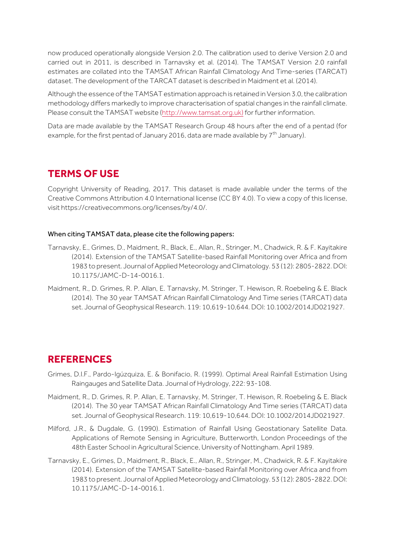now produced operationally alongside Version 2.0. The calibration used to derive Version 2.0 and carried out in 2011, is described in Tarnavsky et al. (2014). The TAMSAT Version 2.0 rainfall estimates are collated into the TAMSAT African Rainfall Climatology And Time-series (TARCAT) dataset. The development of the TARCAT dataset is described in Maidment et al. (2014).

Although the essence of the TAMSAT estimation approach is retained in Version 3.0, the calibration methodology differs markedly to improve characterisation of spatial changes in the rainfall climate. Please consult the TAMSAT website (http://www.tamsat.org.uk) for further information.

Data are made available by the TAMSAT Research Group 48 hours after the end of a pentad (for example, for the first pentad of January 2016, data are made available by  $7<sup>th</sup>$  January).

## **TERMS OF USE**

Copyright University of Reading, 2017. This dataset is made available under the terms of the Creative Commons Attribution 4.0 International license (CC BY 4.0). To view a copy of this license, visit https://creativecommons.org/licenses/by/4.0/.

#### When citing TAMSAT data, please cite the following papers:

- Tarnavsky, E., Grimes, D., Maidment, R., Black, E., Allan, R., Stringer, M., Chadwick, R. & F. Kayitakire (2014). Extension of the TAMSAT Satellite-based Rainfall Monitoring over Africa and from 1983 to present. Journal of Applied Meteorology and Climatology. 53 (12): 2805-2822. DOI: 10.1175/JAMC-D-14-0016.1.
- Maidment, R., D. Grimes, R. P. Allan, E. Tarnavsky, M. Stringer, T. Hewison, R. Roebeling & E. Black (2014). The 30 year TAMSAT African Rainfall Climatology And Time series (TARCAT) data set. Journal of Geophysical Research. 119: 10,619-10,644. DOI: 10.1002/2014JD021927.

## **REFERENCES**

- Grimes, D.I.F., Pardo-Igúzquiza, E. & Bonifacio, R. (1999). Optimal Areal Rainfall Estimation Using Raingauges and Satellite Data. Journal of Hydrology, 222: 93-108.
- Maidment, R., D. Grimes, R. P. Allan, E. Tarnavsky, M. Stringer, T. Hewison, R. Roebeling & E. Black (2014). The 30 year TAMSAT African Rainfall Climatology And Time series (TARCAT) data set. Journal of Geophysical Research. 119: 10,619-10,644. DOI: 10.1002/2014JD021927.
- Milford, J.R., & Dugdale, G. (1990). Estimation of Rainfall Using Geostationary Satellite Data. Applications of Remote Sensing in Agriculture, Butterworth, London Proceedings of the 48th Easter School in Agricultural Science, University of Nottingham. April 1989.
- Tarnavsky, E., Grimes, D., Maidment, R., Black, E., Allan, R., Stringer, M., Chadwick, R. & F. Kayitakire (2014). Extension of the TAMSAT Satellite-based Rainfall Monitoring over Africa and from 1983 to present. Journal of Applied Meteorology and Climatology. 53 (12): 2805-2822. DOI: 10.1175/JAMC-D-14-0016.1.